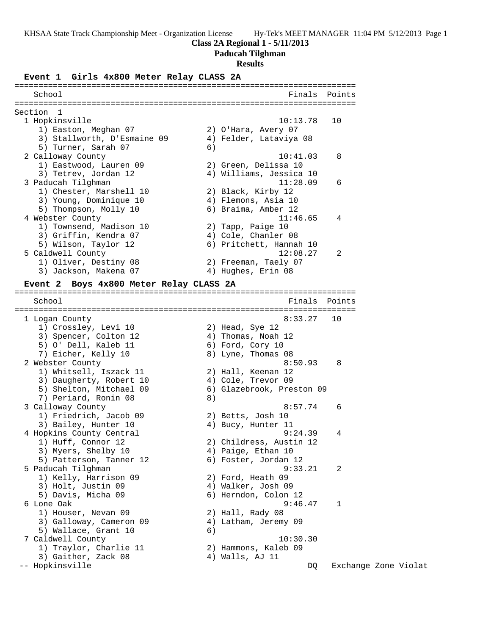#### **Class 2A Regional 1 - 5/11/2013**

#### **Paducah Tilghman**

#### **Results**

#### **Event 1 Girls 4x800 Meter Relay CLASS 2A**

======================================================================= School **Finals Points** ======================================================================= Section 1 1 Hopkinsville 10:13.78 10 1) Easton, Meghan 07 2) O'Hara, Avery 07 3) Stallworth, D'Esmaine 09 4) Felder, Lataviya 08 5) Turner, Sarah 07 (6) 2 Calloway County 10:41.03 8 1) Eastwood, Lauren 09 2) Green, Delissa 10 3) Tetrev, Jordan 12 4) Williams, Jessica 10 3 Paducah Tilghman 11:28.09 6 1) Chester, Marshell 10 2) Black, Kirby 12 3) Young, Dominique 10 4) Flemons, Asia 10 5) Thompson, Molly 10 (6) Braima, Amber 12 4 Webster County 11:46.65 4 1) Townsend, Madison 10 2) Tapp, Paige 10 3) Griffin, Kendra 07 4) Cole, Chanler 08 5) Wilson, Taylor 12 6) Pritchett, Hannah 10 5 Caldwell County 12:08.27 2 1) Oliver, Destiny 08 2) Freeman, Taely 07 3) Jackson, Makena 07 (4) Hughes, Erin 08 **Event 2 Boys 4x800 Meter Relay CLASS 2A** ======================================================================= School **Finals** Points ======================================================================= 1 Logan County 8:33.27 10 1) Crossley, Levi 10 2) Head, Sye 12 3) Spencer, Colton 12 (4) Thomas, Noah 12 5) O' Dell, Kaleb 11 (6) Ford, Cory 10 7) Eicher, Kelly 10 8) Lyne, Thomas 08 2 Webster County **8:50.93** 8 1) Whitsell, Iszack 11 2) Hall, Keenan 12 3) Daugherty, Robert 10 (4) Cole, Trevor 09 5) Shelton, Mitchael 09 6) Glazebrook, Preston 09 7) Periard, Ronin 08 (8) 3 Calloway County 8:57.74 6 1) Friedrich, Jacob 09 2) Betts, Josh 10 3) Bailey, Hunter 10 (4) Bucy, Hunter 11 4 Hopkins County Central 9:24.39 4 1) Huff, Connor 12 2) Childress, Austin 12 3) Myers, Shelby 10 (4) Paige, Ethan 10 5) Patterson, Tanner 12 (6) Foster, Jordan 12 5 Paducah Tilghman 9:33.21 2

 1) Kelly, Harrison 09 2) Ford, Heath 09 3) Holt, Justin 09 4) Walker, Josh 09 5) Davis, Micha 09 6) Herndon, Colon 12 6 Lone Oak 9:46.47 1 1) Houser, Nevan 09 2) Hall, Rady 08 3) Galloway, Cameron 09 (4) Latham, Jeremy 09 5) Wallace, Grant 10 (6) 7 Caldwell County 10:30.30 1) Traylor, Charlie 11 (2) Hammons, Kaleb 09

3) Gaither, Zack 08 (4) Walls, AJ 11

-- Hopkinsville DQ Exchange Zone Violat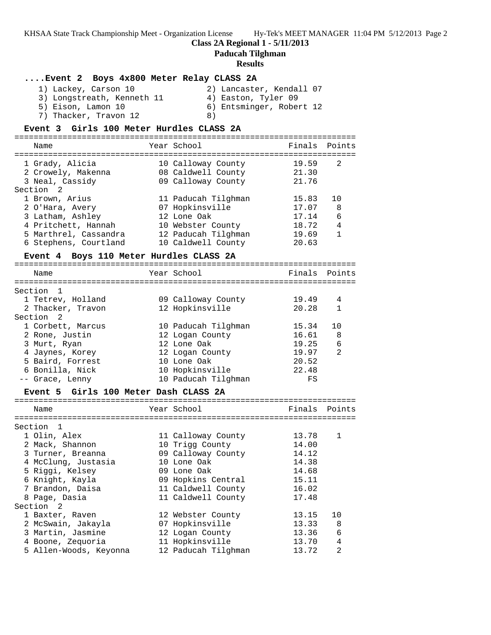# **Class 2A Regional 1 - 5/11/2013**

**Paducah Tilghman**

### **Results**

| Event 2 Boys 4x800 Meter Relay CLASS 2A<br>1) Lackey, Carson 10<br>3) Longstreath, Kenneth 11<br>5) Eison, Lamon 10<br>7) Thacker, Travon 12 | 4) Easton, Tyler 09<br>8)              | 2) Lancaster, Kendall 07<br>6) Entsminger, Robert 12 |              |
|----------------------------------------------------------------------------------------------------------------------------------------------|----------------------------------------|------------------------------------------------------|--------------|
| Event 3 Girls 100 Meter Hurdles CLASS 2A                                                                                                     |                                        |                                                      |              |
|                                                                                                                                              |                                        |                                                      |              |
| Name                                                                                                                                         | Year School                            | Finals Points                                        |              |
|                                                                                                                                              |                                        |                                                      |              |
| 1 Grady, Alicia                                                                                                                              | 10 Calloway County                     | 19.59                                                | 2            |
| 2 Crowely, Makenna                                                                                                                           | 08 Caldwell County                     | 21.30                                                |              |
| 3 Neal, Cassidy                                                                                                                              | 09 Calloway County                     | 21.76                                                |              |
| Section <sub>2</sub>                                                                                                                         |                                        |                                                      |              |
| 1 Brown, Arius                                                                                                                               | 11 Paducah Tilghman                    | 15.83                                                | 10           |
| 2 O'Hara, Avery                                                                                                                              | 07 Hopkinsville                        | 17.07                                                | 8            |
| 3 Latham, Ashley                                                                                                                             | 12 Lone Oak                            | 17.14                                                | 6            |
| 4 Pritchett, Hannah                                                                                                                          | 10 Webster County                      | 18.72                                                | 4            |
| 5 Marthrel, Cassandra                                                                                                                        | 12 Paducah Tilghman                    | 19.69                                                | $\mathbf{1}$ |
| 6 Stephens, Courtland                                                                                                                        | 10 Caldwell County                     | 20.63                                                |              |
| Event 4 Boys 110 Meter Hurdles CLASS 2A                                                                                                      |                                        |                                                      |              |
|                                                                                                                                              |                                        |                                                      |              |
| Name                                                                                                                                         | Year School                            | Finals Points                                        |              |
|                                                                                                                                              |                                        |                                                      |              |
| Section 1                                                                                                                                    |                                        |                                                      |              |
| 1 Tetrev, Holland                                                                                                                            | 09 Calloway County                     | 19.49                                                | 4            |
| 2 Thacker, Travon                                                                                                                            | 12 Hopkinsville                        | 20.28                                                | 1            |
| Section 2                                                                                                                                    |                                        |                                                      |              |
| 1 Corbett, Marcus                                                                                                                            | 10 Paducah Tilghman                    | 15.34                                                | 10           |
| 2 Rone, Justin                                                                                                                               | 12 Logan County                        | 16.61                                                | 8            |
| 3 Murt, Ryan                                                                                                                                 | 12 Lone Oak                            | 19.25                                                | 6            |
| 4 Jaynes, Korey                                                                                                                              |                                        | 19.97                                                | 2            |
|                                                                                                                                              | 12 Logan County<br>10 Lone Oak         | 20.52                                                |              |
| 5 Baird, Forrest                                                                                                                             |                                        |                                                      |              |
| 6 Bonilla, Nick                                                                                                                              | 10 Hopkinsville<br>10 Paducah Tilghman | 22.48                                                |              |
| -- Grace, Lenny                                                                                                                              |                                        | FS                                                   |              |
| Event 5 Girls 100 Meter Dash CLASS 2A                                                                                                        |                                        |                                                      |              |
|                                                                                                                                              |                                        |                                                      |              |
| Name                                                                                                                                         | Year School                            | Finals                                               | Points       |
|                                                                                                                                              |                                        |                                                      |              |
| Section 1                                                                                                                                    |                                        |                                                      |              |
| 1 Olin, Alex                                                                                                                                 | 11 Calloway County                     | 13.78                                                | 1            |
| 2 Mack, Shannon                                                                                                                              | 10 Trigg County                        | 14.00                                                |              |
| 3 Turner, Breanna                                                                                                                            | 09 Calloway County                     | 14.12                                                |              |
| 4 McClung, Justasia                                                                                                                          | 10 Lone Oak                            | 14.38                                                |              |
| 5 Riggi, Kelsey                                                                                                                              | 09 Lone Oak                            | 14.68                                                |              |
| 6 Knight, Kayla                                                                                                                              | 09 Hopkins Central                     | 15.11                                                |              |
| 7 Brandon, Daisa                                                                                                                             | 11 Caldwell County                     | 16.02                                                |              |
| 8 Page, Dasia                                                                                                                                | 11 Caldwell County                     | 17.48                                                |              |
| Section<br>2                                                                                                                                 |                                        |                                                      |              |
| 1 Baxter, Raven                                                                                                                              | 12 Webster County                      | 13.15                                                | 10           |
| 2 McSwain, Jakayla                                                                                                                           | 07 Hopkinsville                        | 13.33                                                | 8            |
| 3 Martin, Jasmine                                                                                                                            | 12 Logan County                        | 13.36                                                | 6            |
| 4 Boone, Zequoria                                                                                                                            | 11 Hopkinsville                        | 13.70                                                | 4            |
| 5 Allen-Woods, Keyonna                                                                                                                       | 12 Paducah Tilghman                    | 13.72                                                | 2            |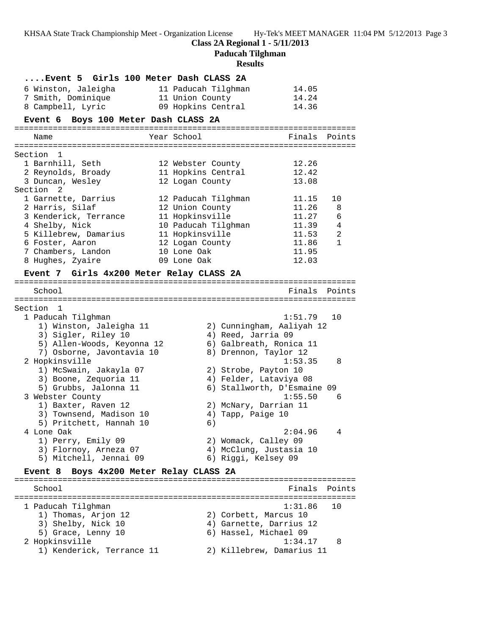**Class 2A Regional 1 - 5/11/2013**

**Paducah Tilghman**

#### **Results**

|                     | Event 5 Girls 100 Meter Dash CLASS 2A |       |
|---------------------|---------------------------------------|-------|
| 6 Winston, Jaleigha | 11 Paducah Tilghman                   | 14.05 |
| 7 Smith, Dominique  | 11 Union County                       | 14.24 |
| 8 Campbell, Lyric   | 09 Hopkins Central                    | 14.36 |

#### **Event 6 Boys 100 Meter Dash CLASS 2A**

| Name                  | Year School         | Finals Points |                |
|-----------------------|---------------------|---------------|----------------|
|                       |                     |               |                |
| Section 1             |                     |               |                |
| 1 Barnhill, Seth      | 12 Webster County   | 12.26         |                |
| 2 Reynolds, Broady    | 11 Hopkins Central  | 12.42         |                |
| 3 Duncan, Wesley      | 12 Logan County     | 13.08         |                |
| Section 2             |                     |               |                |
| 1 Garnette, Darrius   | 12 Paducah Tilghman | 11.15         | 10             |
| 2 Harris, Silaf       | 12 Union County     | 11.26         | -8             |
| 3 Kenderick, Terrance | 11 Hopkinsville     | 11.27         | 6              |
| 4 Shelby, Nick        | 10 Paducah Tilghman | 11.39         | 4              |
| 5 Killebrew, Damarius | 11 Hopkinsville     | 11.53         | $\mathfrak{D}$ |
| 6 Foster, Aaron       | 12 Logan County     | 11.86         | 1              |
| 7 Chambers, Landon    | 10 Lone Oak         | 11.95         |                |
| 8 Hughes, Zyaire      | 09 Lone Oak         | 12.03         |                |

#### **Event 7 Girls 4x200 Meter Relay CLASS 2A**

======================================================================= School **Finals Points** ======================================================================= Section 1 1 Paducah Tilghman 1:51.79 10 1) Winston, Jaleigha 11 2) Cunningham, Aaliyah 12 3) Sigler, Riley 10 (4) Reed, Jarria 09 5) Allen-Woods, Keyonna 12 6) Galbreath, Ronica 11 7) Osborne, Javontavia 10 8) Drennon, Taylor 12 2 Hopkinsville 1:53.35 8 1) McSwain, Jakayla 07 2) Strobe, Payton 10 3) Boone, Zequoria 11 4) Felder, Lataviya 08 5) Grubbs, Jalonna 11 6) Stallworth, D'Esmaine 09 3 Webster County 1:55.50 6 1) Baxter, Raven 12 2) McNary, Darrian 11 3) Townsend, Madison 10 (4) Tapp, Paige 10 5) Pritchett, Hannah 10 (6) 4 Lone Oak 2:04.96 4 1) Perry, Emily 09 2) Womack, Calley 09 3) Flornoy, Arneza 07 4) McClung, Justasia 10 5) Mitchell, Jennai 09 6) Riggi, Kelsey 09

### **Event 8 Boys 4x200 Meter Relay CLASS 2A**

======================================================================= School Finals Points ======================================================================= 1 Paducah Tilghman 1:31.86 10 1) Thomas, Arjon 12 2) Corbett, Marcus 10 3) Shelby, Nick 10 4) Garnette, Darrius 12 5) Grace, Lenny 10 6) Hassel, Michael 09 2 Hopkinsville 1:34.17 8 11.54.11.<br>1) Kenderick, Terrance 11 2) Killebrew, Damarius 11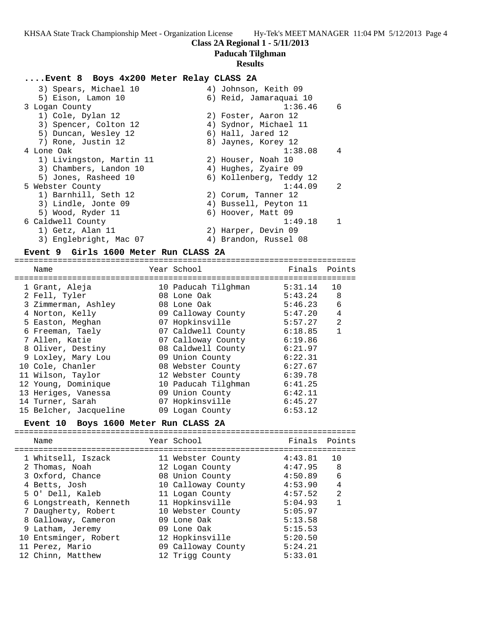## **Paducah Tilghman**

#### **Results**

### **....Event 8 Boys 4x200 Meter Relay CLASS 2A**

| 3) Spears, Michael 10    | 4) Johnson, Keith 09      |
|--------------------------|---------------------------|
| 5) Eison, Lamon 10       | 6) Reid, Jamaraquai 10    |
| 3 Logan County           | 1:36.46<br>6              |
| 1) Cole, Dylan 12        | 2) Foster, Aaron 12       |
| 3) Spencer, Colton 12    | 4) Sydnor, Michael 11     |
| 5) Duncan, Wesley 12     | 6) Hall, Jared 12         |
| 7) Rone, Justin 12       | 8) Jaynes, Korey 12       |
| 4 Lone Oak               | 1:38.08<br>$\overline{4}$ |
| 1) Livingston, Martin 11 | 2) Houser, Noah 10        |
| 3) Chambers, Landon 10   | 4) Hughes, Zyaire 09      |
| 5) Jones, Rasheed 10     | 6) Kollenberg, Teddy 12   |
| 5 Webster County         | 1:44.09<br>-2             |
| 1) Barnhill, Seth 12     | 2) Corum, Tanner 12       |
| 3) Lindle, Jonte 09      | 4) Bussell, Peyton 11     |
| 5) Wood, Ryder 11        | 6) Hoover, Matt 09        |
| 6 Caldwell County        | 1:49.18<br>$\mathbf{1}$   |
| 1) Getz, Alan 11         | 2) Harper, Devin 09       |
| 3) Englebright, Mac 07   | 4) Brandon, Russel 08     |

#### **Event 9 Girls 1600 Meter Run CLASS 2A**

=======================================================================

| Name                   | Year School         | Finals  | Points       |
|------------------------|---------------------|---------|--------------|
| 1 Grant, Aleja         | 10 Paducah Tilghman | 5:31.14 | 10           |
| 2 Fell, Tyler          | 08 Lone Oak         | 5:43.24 | 8            |
| 3 Zimmerman, Ashley    | 08 Lone Oak         | 5:46.23 | 6            |
| 4 Norton, Kelly        | 09 Calloway County  | 5:47.20 | 4            |
| 5 Easton, Meghan       | 07 Hopkinsville     | 5:57.27 | 2            |
| 6 Freeman, Taely       | 07 Caldwell County  | 6:18.85 | $\mathbf{1}$ |
| 7 Allen, Katie         | 07 Calloway County  | 6:19.86 |              |
| 8 Oliver, Destiny      | 08 Caldwell County  | 6:21.97 |              |
| 9 Loxley, Mary Lou     | 09 Union County     | 6:22.31 |              |
| 10 Cole, Chanler       | 08 Webster County   | 6:27.67 |              |
| 11 Wilson, Taylor      | 12 Webster County   | 6:39.78 |              |
| 12 Young, Dominique    | 10 Paducah Tilghman | 6:41.25 |              |
| 13 Heriges, Vanessa    | 09 Union County     | 6:42.11 |              |
| 14 Turner, Sarah       | 07 Hopkinsville     | 6:45.27 |              |
| 15 Belcher, Jacqueline | 09 Logan County     | 6:53.12 |              |

#### **Event 10 Boys 1600 Meter Run CLASS 2A**

| Name                   | Year School        | Finals  | Points         |
|------------------------|--------------------|---------|----------------|
| 1 Whitsell, Iszack     | 11 Webster County  | 4:43.81 | 10             |
| 2 Thomas, Noah         | 12 Logan County    | 4:47.95 | 8              |
| 3 Oxford, Chance       | 08 Union County    | 4:50.89 | 6              |
| 4 Betts, Josh          | 10 Calloway County | 4:53.90 | 4              |
| 5 O' Dell, Kaleb       | 11 Logan County    | 4:57.52 | $\mathfrak{D}$ |
| 6 Longstreath, Kenneth | 11 Hopkinsville    | 5:04.93 |                |
| 7 Daugherty, Robert    | 10 Webster County  | 5:05.97 |                |
| 8 Galloway, Cameron    | 09 Lone Oak        | 5:13.58 |                |
| 9 Latham, Jeremy       | 09 Lone Oak        | 5:15.53 |                |
| 10 Entsminger, Robert  | 12 Hopkinsville    | 5:20.50 |                |
| 11 Perez, Mario        | 09 Calloway County | 5:24.21 |                |
| 12 Chinn, Matthew      | 12 Trigg County    | 5:33.01 |                |
|                        |                    |         |                |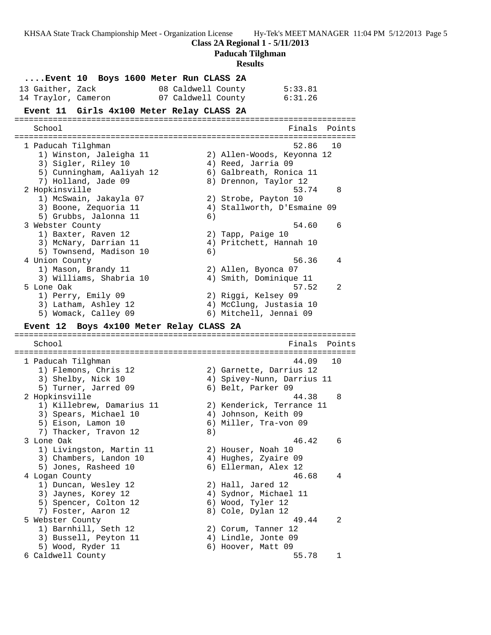**Class 2A Regional 1 - 5/11/2013**

**Paducah Tilghman**

# **Results**

| Event 10 Boys 1600 Meter Run CLASS 2A        |  |                                 |    |  |                                              |                             |        |
|----------------------------------------------|--|---------------------------------|----|--|----------------------------------------------|-----------------------------|--------|
| 13 Gaither, Zack                             |  | 08 Caldwell County              |    |  |                                              | 5:33.81                     |        |
| 14 Traylor, Cameron                          |  | 07 Caldwell County              |    |  |                                              | 6:31.26                     |        |
| Event 11 Girls 4x100 Meter Relay CLASS 2A    |  |                                 |    |  |                                              |                             |        |
| School                                       |  |                                 |    |  |                                              | Finals                      | Points |
|                                              |  |                                 |    |  |                                              |                             |        |
| 1 Paducah Tilghman                           |  |                                 |    |  |                                              | 52.86                       | 10     |
| 1) Winston, Jaleigha 11                      |  |                                 |    |  |                                              | 2) Allen-Woods, Keyonna 12  |        |
| 3) Sigler, Riley 10                          |  |                                 |    |  | 4) Reed, Jarria 09                           |                             |        |
| 5) Cunningham, Aaliyah 12                    |  |                                 |    |  |                                              | 6) Galbreath, Ronica 11     |        |
| 7) Holland, Jade 09                          |  |                                 |    |  |                                              | 8) Drennon, Taylor 12       |        |
| 2 Hopkinsville                               |  |                                 |    |  |                                              | 53.74                       | 8      |
| 1) McSwain, Jakayla 07                       |  |                                 |    |  | 2) Strobe, Payton 10                         |                             |        |
| 3) Boone, Zequoria 11                        |  |                                 |    |  |                                              | 4) Stallworth, D'Esmaine 09 |        |
| 5) Grubbs, Jalonna 11                        |  |                                 | 6) |  |                                              |                             |        |
| 3 Webster County                             |  |                                 |    |  |                                              | 54.60                       | 6      |
| 1) Baxter, Raven 12                          |  |                                 |    |  | 2) Tapp, Paige 10                            |                             |        |
| 3) McNary, Darrian 11                        |  |                                 |    |  |                                              | 4) Pritchett, Hannah 10     |        |
| 5) Townsend, Madison 10                      |  |                                 | 6) |  |                                              |                             |        |
| 4 Union County                               |  |                                 |    |  |                                              | 56.36                       | 4      |
| 1) Mason, Brandy 11                          |  |                                 |    |  | 2) Allen, Byonca 07                          |                             |        |
| 3) Williams, Shabria 10                      |  |                                 |    |  |                                              | 4) Smith, Dominique 11      |        |
| 5 Lone Oak                                   |  |                                 |    |  |                                              | 57.52                       | 2      |
| 1) Perry, Emily 09                           |  |                                 |    |  | 2) Riggi, Kelsey 09                          |                             |        |
| 3) Latham, Ashley 12                         |  |                                 |    |  |                                              | 4) McClung, Justasia 10     |        |
|                                              |  |                                 |    |  | 6) Mitchell, Jennai 09                       |                             |        |
| 5) Womack, Calley 09                         |  |                                 |    |  |                                              |                             |        |
| <b>Event 12</b>                              |  | Boys 4x100 Meter Relay CLASS 2A |    |  |                                              |                             |        |
| School                                       |  |                                 |    |  |                                              | Finals                      | Points |
| 1 Paducah Tilghman                           |  |                                 |    |  |                                              | 44.09                       | 10     |
| 1) Flemons, Chris 12                         |  |                                 |    |  |                                              | 2) Garnette, Darrius 12     |        |
| 3) Shelby, Nick 10                           |  |                                 |    |  |                                              | 4) Spivey-Nunn, Darrius 11  |        |
| 5) Turner, Jarred 09                         |  |                                 |    |  | 6) Belt, Parker 09                           |                             |        |
| 2 Hopkinsville                               |  |                                 |    |  |                                              | 44.38                       | 8      |
| 1) Killebrew, Damarius 11                    |  |                                 |    |  |                                              | 2) Kenderick, Terrance 11   |        |
| 3) Spears, Michael 10                        |  |                                 |    |  | 4) Johnson, Keith 09                         |                             |        |
| 5) Eison, Lamon 10                           |  |                                 |    |  |                                              | 6) Miller, Tra-von 09       |        |
| 7) Thacker, Travon 12                        |  |                                 | 8) |  |                                              |                             |        |
| 3 Lone Oak                                   |  |                                 |    |  |                                              | 46.42                       | 6      |
| 1) Livingston, Martin 11                     |  |                                 |    |  | 2) Houser, Noah 10                           |                             |        |
| 3) Chambers, Landon 10                       |  |                                 |    |  |                                              |                             |        |
| 5) Jones, Rasheed 10                         |  |                                 |    |  | 4) Hughes, Zyaire 09<br>6) Ellerman, Alex 12 |                             |        |
| 4 Logan County                               |  |                                 |    |  |                                              | 46.68                       | 4      |
| 1) Duncan, Wesley 12                         |  |                                 |    |  | 2) Hall, Jared 12                            |                             |        |
| 3) Jaynes, Korey 12                          |  |                                 |    |  |                                              | 4) Sydnor, Michael 11       |        |
|                                              |  |                                 |    |  |                                              |                             |        |
| 5) Spencer, Colton 12<br>7) Foster, Aaron 12 |  |                                 |    |  | 6) Wood, Tyler 12<br>8) Cole, Dylan 12       |                             |        |
|                                              |  |                                 |    |  |                                              | 49.44                       | 2      |
| 5 Webster County<br>1) Barnhill, Seth 12     |  |                                 |    |  | 2) Corum, Tanner 12                          |                             |        |
|                                              |  |                                 |    |  | 4) Lindle, Jonte 09                          |                             |        |
| 3) Bussell, Peyton 11                        |  |                                 |    |  | 6) Hoover, Matt 09                           |                             |        |
| 5) Wood, Ryder 11<br>6 Caldwell County       |  |                                 |    |  |                                              | 55.78                       | 1      |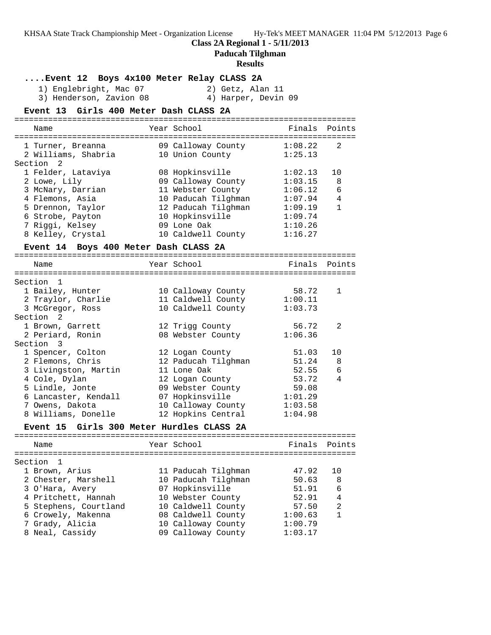**Paducah Tilghman**

#### **Results**

**....Event 12 Boys 4x100 Meter Relay CLASS 2A** 1) Englebright, Mac 07 2) Getz, Alan 11 3) Henderson, Zavion 08 4) Harper, Devin 09 **Event 13 Girls 400 Meter Dash CLASS 2A** ======================================================================= Name The Year School The Finals Points ======================================================================= 1 Turner, Breanna 09 Calloway County 1:08.22 2 2 Williams, Shabria 10 Union County 1:25.13 Section 2 1 Felder, Lataviya 08 Hopkinsville 1:02.13 10 2 Lowe, Lily 09 Calloway County 1:03.15 8 3 McNary, Darrian 11 Webster County 1:06.12 6 4 Flemons, Asia 10 Paducah Tilghman 1:07.94 4 5 Drennon, Taylor 12 Paducah Tilghman 1:09.19 1 6 Strobe, Payton 10 Hopkinsville 1:09.74 7 Riggi, Kelsey 09 Lone Oak 1:10.26 8 Kelley, Crystal 10 Caldwell County 1:16.27 **Event 14 Boys 400 Meter Dash CLASS 2A** ======================================================================= Name The Year School The Finals Points ======================================================================= Section 1 1 Bailey, Hunter 10 Calloway County 58.72 1 2 Traylor, Charlie 11 Caldwell County 1:00.11 3 McGregor, Ross 10 Caldwell County 1:03.73 Section 2 1 Brown, Garrett 12 Trigg County 56.72 2 2 Periard, Ronin 08 Webster County 1:06.36 Section 3 1 Spencer, Colton 12 Logan County 51.03 10 2 Flemons, Chris 12 Paducah Tilghman 51.24 8 3 Livingston, Martin 11 Lone Oak 52.55 6 4 Cole, Dylan 12 Logan County 53.72 4 5 Lindle, Jonte 09 Webster County 59.08 6 Lancaster, Kendall 07 Hopkinsville 1:01.29 7 Owens, Dakota 10 Calloway County 1:03.58 8 Williams, Donelle 12 Hopkins Central 1:04.98 **Event 15 Girls 300 Meter Hurdles CLASS 2A** ======================================================================= Name The Year School Team Points Points ======================================================================= Section 1 1 Brown, Arius 11 Paducah Tilghman 47.92 10 2 Chester, Marshell 10 Paducah Tilghman 50.63 8 3 O'Hara, Avery 07 Hopkinsville 51.91 6 4 Pritchett, Hannah 10 Webster County 52.91 4 5 Stephens, Courtland 10 Caldwell County 57.50 2 6 Crowely, Makenna 08 Caldwell County 1:00.63 1 7 Grady, Alicia 10 Calloway County 1:00.79 8 Neal, Cassidy 09 Calloway County 1:03.17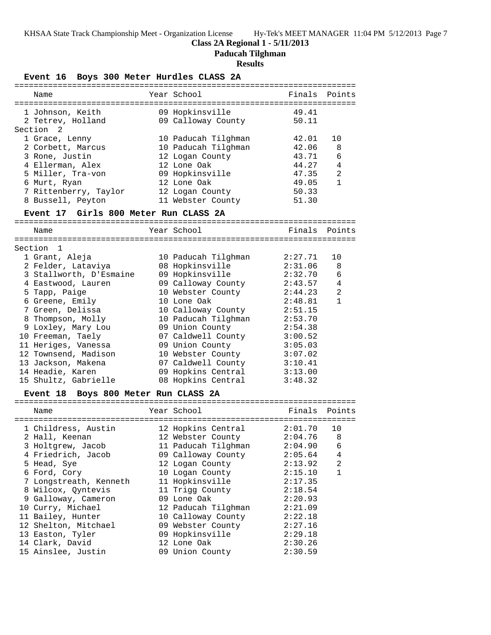**Paducah Tilghman**

### **Results**

**Event 16 Boys 300 Meter Hurdles CLASS 2A**

| Name                                           | Year School                               |         | Finals Points |
|------------------------------------------------|-------------------------------------------|---------|---------------|
| 1 Johnson, Keith 69 Hopkinsville               |                                           | 49.41   |               |
| 2 Tetrev, Holland                              | 09 Calloway County                        | 50.11   |               |
| Section 2                                      |                                           |         |               |
| 1 Grace, Lenny                                 | 10 Paducah Tilghman                       | 42.01   | 10            |
| 2 Corbett, Marcus                              | 10 Paducah Tilghman                       | 42.06   | 8             |
| 3 Rone, Justin                                 | 12 Logan County                           | 43.71   | 6             |
| 4 Ellerman, Alex                               | 12 Lone Oak                               | 44.27   | 4             |
| 5 Miller, Tra-von                              | 09 Hopkinsville                           | 47.35   | 2             |
| 6 Murt, Ryan                                   | 12 Lone Oak                               | 49.05   | 1             |
| 7 Rittenberry, Taylor 12 Logan County          |                                           | 50.33   |               |
| 8 Bussell, Peyton                              | 11 Webster County                         | 51.30   |               |
| Event 17 Girls 800 Meter Run CLASS 2A          |                                           |         |               |
| Name                                           | Year School                               | Finals  | Points        |
|                                                |                                           |         |               |
| Section 1                                      |                                           |         |               |
| 1 Grant, Aleja                                 | 10 Paducah Tilghman                       | 2:27.71 | 10            |
| 2 Felder, Lataviya                             | 08 Hopkinsville<br>09 Hopkinsville        | 2:31.06 | 8             |
| 3 Stallworth, D'Esmaine<br>4 Eastwood, Lauren  | 09 Calloway County 2:43.57                | 2:32.70 | 6             |
| 5 Tapp, Paige                                  | 10 Webster County                         | 2:44.23 | 4<br>2        |
| 6 Greene, Emily                                | 10 Lone Oak                               | 2:48.81 | $\mathbf{1}$  |
| 7 Green, Delissa                               |                                           | 2:51.15 |               |
| 8 Thompson, Molly                              | 10 Calloway County<br>10 Paducah Tilghman | 2:53.70 |               |
| 9 Loxley, Mary Lou                             | 09 Union County                           | 2:54.38 |               |
| 10 Freeman, Taely                              | 07 Caldwell County                        | 3:00.52 |               |
| 11 Heriges, Vanessa                            | 09 Union County                           | 3:05.03 |               |
| 12 Townsend, Madison                           | 10 Webster County                         | 3:07.02 |               |
| 13 Jackson, Makena                             | 07 Caldwell County                        | 3:10.41 |               |
| 14 Headie, Karen                               | 09 Hopkins Central                        | 3:13.00 |               |
| 15 Shultz, Gabrielle                           | 08 Hopkins Central                        | 3:48.32 |               |
| Event 18 Boys 800 Meter Run CLASS 2A           |                                           |         |               |
|                                                |                                           |         |               |
| Name                                           | Year School                               |         | Finals Points |
|                                                |                                           |         |               |
| 1 Childress, Austin 12 Hopkins Central 2:01.70 |                                           |         | 10            |
| 2 Hall, Keenan                                 | 12 Webster County 2:04.76 8               |         |               |
| 3 Holtgrew, Jacob                              | 11 Paducah Tilghman                       | 2:04.90 | 6             |
| 4 Friedrich, Jacob                             | 09 Calloway County                        | 2:05.64 | 4             |
| 5 Head, Sye                                    | 12 Logan County                           | 2:13.92 | 2             |
| 6 Ford, Cory                                   | 10 Logan County                           | 2:15.10 | $\mathbf 1$   |
| 7 Longstreath, Kenneth                         | 11 Hopkinsville                           | 2:17.35 |               |
| 8 Wilcox, Qyntevis                             | 11 Trigg County                           | 2:18.54 |               |
| 9 Galloway, Cameron                            | 09 Lone Oak                               | 2:20.93 |               |
| 10 Curry, Michael                              | 12 Paducah Tilghman                       | 2:21.09 |               |
| 11 Bailey, Hunter                              | 10 Calloway County                        | 2:22.18 |               |
| 12 Shelton, Mitchael                           | 09 Webster County                         | 2:27.16 |               |
| 13 Easton, Tyler                               | 09 Hopkinsville                           | 2:29.18 |               |
| 14 Clark, David                                | 12 Lone Oak                               | 2:30.26 |               |
| 15 Ainslee, Justin                             | 09 Union County                           | 2:30.59 |               |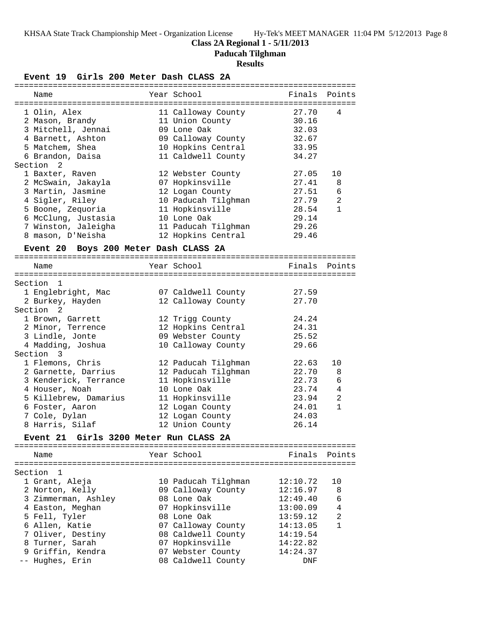**Class 2A Regional 1 - 5/11/2013**

**Paducah Tilghman**

# **Results**

**Event 19 Girls 200 Meter Dash CLASS 2A**

|                                                | LVCIIL IJ<br>GILLS ZUU MELEL DASII CHASS                                                                                                                                                                                                                                                                                                |                                                                                                                                                                                                                                                                                          |                                                                                                                            |                                                                  |
|------------------------------------------------|-----------------------------------------------------------------------------------------------------------------------------------------------------------------------------------------------------------------------------------------------------------------------------------------------------------------------------------------|------------------------------------------------------------------------------------------------------------------------------------------------------------------------------------------------------------------------------------------------------------------------------------------|----------------------------------------------------------------------------------------------------------------------------|------------------------------------------------------------------|
| Name                                           |                                                                                                                                                                                                                                                                                                                                         | Year School                                                                                                                                                                                                                                                                              |                                                                                                                            | Finals Points                                                    |
|                                                | 1 Olin, Alex<br>2 Mason, Brandy<br>3 Mitchell, Jennai<br>4 Barnett, Ashton<br>5 Matchem, Shea<br>6 Brandon, Daisa                                                                                                                                                                                                                       | 11 Calloway County<br>11 Union County<br>09 Lone Oak<br>09 Calloway County<br>10 Hopkins Central<br>11 Caldwell County                                                                                                                                                                   | 27.70<br>30.16<br>32.03<br>32.67<br>33.95<br>34.27                                                                         | 4                                                                |
| Section 2                                      | 1 Baxter, Raven<br>2 McSwain, Jakayla<br>3 Martin, Jasmine<br>4 Sigler, Riley<br>5 Boone, Zequoria<br>6 McClung, Justasia<br>7 Winston, Jaleigha<br>8 mason, D'Neisha<br>Event 20 Boys 200 Meter Dash CLASS 2A                                                                                                                          | 12 Webster County<br>07 Hopkinsville<br>12 Logan County<br>10 Paducah Tilghman<br>11 Hopkinsville<br>10 Lone Oak<br>11 Paducah Tilghman<br>12 Hopkins Central                                                                                                                            | 27.05<br>27.41<br>27.51<br>27.79<br>28.54<br>29.14<br>29.26<br>29.46                                                       | 10<br>8<br>6<br>$\overline{a}$<br>$\mathbf{1}$                   |
| Name                                           |                                                                                                                                                                                                                                                                                                                                         | Year School                                                                                                                                                                                                                                                                              |                                                                                                                            | Finals Points                                                    |
| Section 1<br>Section <sub>2</sub><br>Section 3 | 1 Englebright, Mac<br>2 Burkey, Hayden<br>1 Brown, Garrett<br>2 Minor, Terrence<br>3 Lindle, Jonte<br>4 Madding, Joshua<br>1 Flemons, Chris<br>2 Garnette, Darrius<br>3 Kenderick, Terrance<br>4 Houser, Noah<br>5 Killebrew, Damarius<br>6 Foster, Aaron<br>7 Cole, Dylan<br>8 Harris, Silaf<br>Event 21 Girls 3200 Meter Run CLASS 2A | 07 Caldwell County<br>12 Calloway County<br>12 Trigg County<br>12 Hopkins Central<br>09 Webster County<br>10 Calloway County<br>12 Paducah Tilghman<br>12 Paducah Tilghman<br>11 Hopkinsville<br>10 Lone Oak<br>11 Hopkinsville<br>12 Logan County<br>12 Logan County<br>12 Union County | 27.59<br>27.70<br>24.24<br>24.31<br>25.52<br>29.66<br>22.63<br>22.70<br>22.73<br>23.74<br>23.94<br>24.01<br>24.03<br>26.14 | 10<br>8<br>6<br>$\overline{4}$<br>$\overline{2}$<br>$\mathbf{1}$ |
| Name                                           |                                                                                                                                                                                                                                                                                                                                         | Year School                                                                                                                                                                                                                                                                              | Finals                                                                                                                     | Points                                                           |
| Section                                        | -1<br>1 Grant, Aleja<br>2 Norton, Kelly<br>3 Zimmerman, Ashley<br>4 Easton, Meghan<br>5 Fell, Tyler<br>6 Allen, Katie<br>7 Oliver, Destiny<br>8 Turner, Sarah<br>9 Griffin, Kendra<br>-- Hughes, Erin                                                                                                                                   | 10 Paducah Tilghman<br>09 Calloway County<br>08 Lone Oak<br>07 Hopkinsville<br>08 Lone Oak<br>07 Calloway County<br>08 Caldwell County<br>07 Hopkinsville<br>07 Webster County<br>08 Caldwell County                                                                                     | 12:10.72<br>12:16.97<br>12:49.40<br>13:00.09<br>13:59.12<br>14:13.05<br>14:19.54<br>14:22.82<br>14:24.37<br>DNF            | 10<br>8<br>6<br>4<br>2<br>$\mathbf{1}$                           |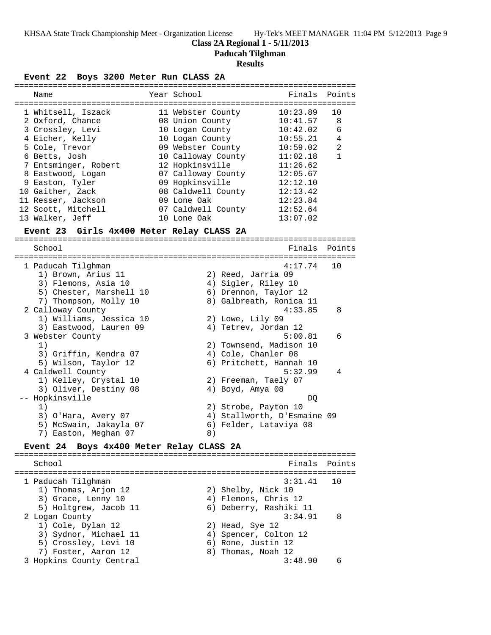**Class 2A Regional 1 - 5/11/2013**

**Paducah Tilghman**

#### **Results**

**Event 22 Boys 3200 Meter Run CLASS 2A**

| Name                 | Year School        | Finals Points |                |
|----------------------|--------------------|---------------|----------------|
|                      |                    |               |                |
| 1 Whitsell, Iszack   | 11 Webster County  | 10:23.89      | 10             |
| 2 Oxford, Chance     | 08 Union County    | 10:41.57      | 8              |
| 3 Crossley, Levi     | 10 Logan County    | 10:42.02      | 6              |
| 4 Eicher, Kelly      | 10 Logan County    | 10:55.21      | 4              |
| 5 Cole, Trevor       | 09 Webster County  | 10:59.02      | $\mathfrak{D}$ |
| 6 Betts, Josh        | 10 Calloway County | 11:02.18      |                |
| 7 Entsminger, Robert | 12 Hopkinsville    | 11:26.62      |                |
| 8 Eastwood, Logan    | 07 Calloway County | 12:05.67      |                |
| 9 Easton, Tyler      | 09 Hopkinsville    | 12:12.10      |                |
| 10 Gaither, Zack     | 08 Caldwell County | 12:13.42      |                |
| 11 Resser, Jackson   | 09 Lone Oak        | 12:23.84      |                |
| 12 Scott, Mitchell   | 07 Caldwell County | 12:52.64      |                |
| 13 Walker, Jeff      | 10 Lone Oak        | 13:07.02      |                |
|                      |                    |               |                |

#### **Event 23 Girls 4x400 Meter Relay CLASS 2A**

======================================================================= Finals Points ======================================================================= 1 Paducah Tilghman 4:17.74 10 1) Brown, Arius 11 2) Reed, Jarria 09 3) Flemons, Asia 10 (4) Sigler, Riley 10 5) Chester, Marshell 10 6) Drennon, Taylor 12 7) Thompson, Molly 10 8) Galbreath, Ronica 11 2 Calloway County 4:33.85 8 1) Williams, Jessica 10 2) Lowe, Lily 09 3) Eastwood, Lauren 09  $\hskip1cm \hskip1cm 4$ ) Tetrev, Jordan 12 3 Webster County 5:00.81 6 1) 2) Townsend, Madison 10 3) Griffin, Kendra 07 4) Cole, Chanler 08 5) Wilson, Taylor 12 6) Pritchett, Hannah 10 4 Caldwell County 5:32.99 4 1) Kelley, Crystal 10 2) Freeman, Taely 07 3) Oliver, Destiny 08 (4) Boyd, Amya 08 -- Hopkinsville DQ 1) 2) Strobe, Payton 10 3) O'Hara, Avery 07 4) Stallworth, D'Esmaine 09 5) McSwain, Jakayla 07 6) Felder, Lataviya 08 7) Easton, Meghan 07 (8)

### **Event 24 Boys 4x400 Meter Relay CLASS 2A**

======================================================================= School **Finals Points** ======================================================================= 1 Paducah Tilghman 3:31.41 10 1) Thomas, Arjon 12 2) Shelby, Nick 10 3) Grace, Lenny 10 (4) Flemons, Chris 12 5) Holtgrew, Jacob 11 6) Deberry, Rashiki 11 2 Logan County 3:34.91 8 1) Cole, Dylan 12 2) Head, Sye 12 3) Sydnor, Michael 11 4) Spencer, Colton 12 5) Crossley, Levi 10 (6) Rone, Justin 12 7) Foster, Aaron 12 8) Thomas, Noah 12 3 Hopkins County Central 3:48.90 6